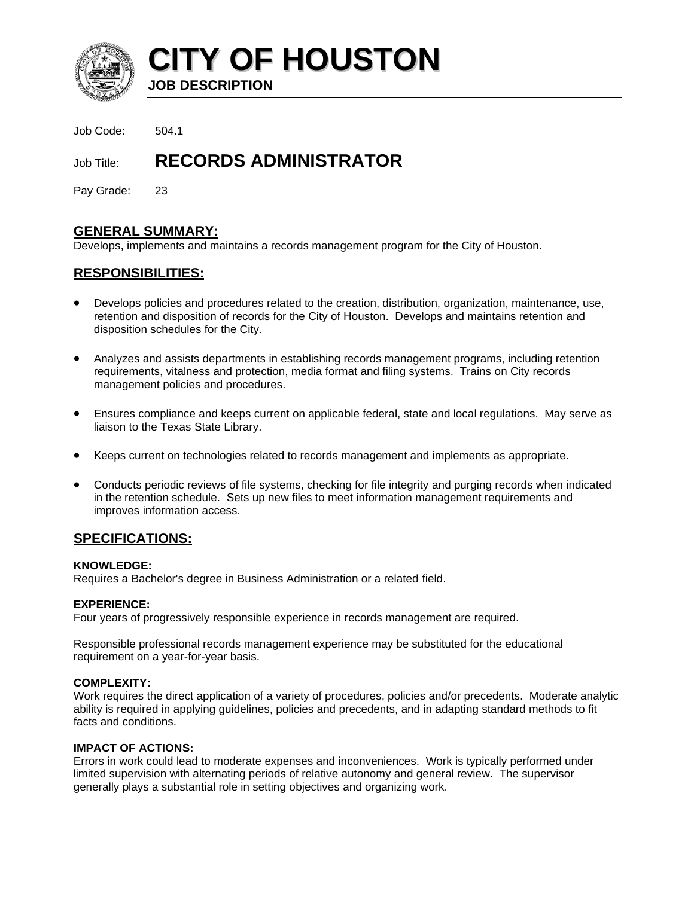

**CITY OF HOUSTON**

**JOB DESCRIPTION**

Job Code: 504.1

# Job Title: **RECORDS ADMINISTRATOR**

Pay Grade: 23

# **GENERAL SUMMARY:**

Develops, implements and maintains a records management program for the City of Houston.

# **RESPONSIBILITIES:**

- Develops policies and procedures related to the creation, distribution, organization, maintenance, use, retention and disposition of records for the City of Houston. Develops and maintains retention and disposition schedules for the City.
- Analyzes and assists departments in establishing records management programs, including retention requirements, vitalness and protection, media format and filing systems. Trains on City records management policies and procedures.
- Ensures compliance and keeps current on applicable federal, state and local regulations. May serve as liaison to the Texas State Library.
- Keeps current on technologies related to records management and implements as appropriate.
- Conducts periodic reviews of file systems, checking for file integrity and purging records when indicated in the retention schedule. Sets up new files to meet information management requirements and improves information access.

# **SPECIFICATIONS:**

#### **KNOWLEDGE:**

Requires a Bachelor's degree in Business Administration or a related field.

# **EXPERIENCE:**

Four years of progressively responsible experience in records management are required.

Responsible professional records management experience may be substituted for the educational requirement on a year-for-year basis.

# **COMPLEXITY:**

Work requires the direct application of a variety of procedures, policies and/or precedents. Moderate analytic ability is required in applying guidelines, policies and precedents, and in adapting standard methods to fit facts and conditions.

# **IMPACT OF ACTIONS:**

Errors in work could lead to moderate expenses and inconveniences. Work is typically performed under limited supervision with alternating periods of relative autonomy and general review. The supervisor generally plays a substantial role in setting objectives and organizing work.